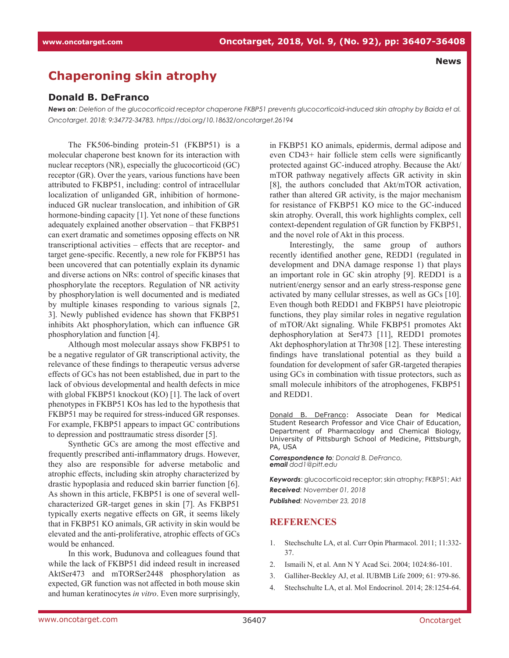## **Chaperoning skin atrophy**

## **Donald B. DeFranco**

*News on: Deletion of the glucocorticoid receptor chaperone FKBP51 prevents glucocorticoid-induced skin atrophy by Baida et al. Oncotarget. 2018; 9:34772-34783. https://doi.org/10.18632/oncotarget.26194*

The FK506-binding protein-51 (FKBP51) is a molecular chaperone best known for its interaction with nuclear receptors (NR), especially the glucocorticoid (GC) receptor (GR). Over the years, various functions have been attributed to FKBP51, including: control of intracellular localization of unliganded GR, inhibition of hormoneinduced GR nuclear translocation, and inhibition of GR hormone-binding capacity [1]. Yet none of these functions adequately explained another observation – that FKBP51 can exert dramatic and sometimes opposing effects on NR transcriptional activities – effects that are receptor- and target gene-specific. Recently, a new role for FKBP51 has been uncovered that can potentially explain its dynamic and diverse actions on NRs: control of specific kinases that phosphorylate the receptors. Regulation of NR activity by phosphorylation is well documented and is mediated by multiple kinases responding to various signals [2, 3]. Newly published evidence has shown that FKBP51 inhibits Akt phosphorylation, which can influence GR phosphorylation and function [4].

Although most molecular assays show FKBP51 to be a negative regulator of GR transcriptional activity, the relevance of these findings to therapeutic versus adverse effects of GCs has not been established, due in part to the lack of obvious developmental and health defects in mice with global FKBP51 knockout (KO) [1]. The lack of overt phenotypes in FKBP51 KOs has led to the hypothesis that FKBP51 may be required for stress-induced GR responses. For example, FKBP51 appears to impact GC contributions to depression and posttraumatic stress disorder [5].

Synthetic GCs are among the most effective and frequently prescribed anti-inflammatory drugs. However, they also are responsible for adverse metabolic and atrophic effects, including skin atrophy characterized by drastic hypoplasia and reduced skin barrier function [6]. As shown in this article, FKBP51 is one of several wellcharacterized GR-target genes in skin [7]. As FKBP51 typically exerts negative effects on GR, it seems likely that in FKBP51 KO animals, GR activity in skin would be elevated and the anti-proliferative, atrophic effects of GCs would be enhanced.

In this work, Budunova and colleagues found that while the lack of FKBP51 did indeed result in increased AktSer473 and mTORSer2448 phosphorylation as expected, GR function was not affected in both mouse skin and human keratinocytes *in vitro*. Even more surprisingly, in FKBP51 KO animals, epidermis, dermal adipose and even CD43+ hair follicle stem cells were significantly protected against GC-induced atrophy. Because the Akt/ mTOR pathway negatively affects GR activity in skin [8], the authors concluded that Akt/mTOR activation, rather than altered GR activity, is the major mechanism for resistance of FKBP51 KO mice to the GC-induced skin atrophy. Overall, this work highlights complex, cell context-dependent regulation of GR function by FKBP51, and the novel role of Akt in this process.

 **News**

Interestingly, the same group of authors recently identified another gene, REDD1 (regulated in development and DNA damage response 1) that plays an important role in GC skin atrophy [9]. REDD1 is a nutrient/energy sensor and an early stress-response gene activated by many cellular stresses, as well as GCs [10]. Even though both REDD1 and FKBP51 have pleiotropic functions, they play similar roles in negative regulation of mTOR/Akt signaling. While FKBP51 promotes Akt dephosphorylation at Ser473 [11], REDD1 promotes Akt dephosphorylation at Thr308 [12]. These interesting findings have translational potential as they build a foundation for development of safer GR-targeted therapies using GCs in combination with tissue protectors, such as small molecule inhibitors of the atrophogenes, FKBP51 and REDD1.

Donald B. DeFranco: Associate Dean for Medical Student Research Professor and Vice Chair of Education, Department of Pharmacology and Chemical Biology, University of Pittsburgh School of Medicine, Pittsburgh, PA, USA

*Correspondence to: Donald B. DeFranco, email dod1@pitt.edu*

*Keywords*: glucocorticoid receptor; skin atrophy; FKBP51; Akt *Received: November 01, 2018*

*Published: November 23, 2018*

## **REFERENCES**

- 1. Stechschulte LA, et al. Curr Opin Pharmacol. 2011; 11:332- 37.
- 2. Ismaili N, et al. Ann N Y Acad Sci. 2004; 1024:86-101.
- 3. Galliher-Beckley AJ, et al. IUBMB Life 2009; 61: 979-86.
- 4. Stechschulte LA, et al. Mol Endocrinol. 2014; 28:1254-64.